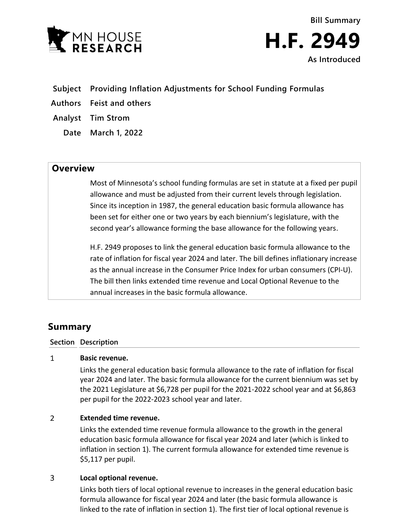



- **Subject Providing Inflation Adjustments for School Funding Formulas**
- **Authors Feist and others**
- **Analyst Tim Strom**
	- **Date March 1, 2022**

# **Overview**

Most of Minnesota's school funding formulas are set in statute at a fixed per pupil allowance and must be adjusted from their current levels through legislation. Since its inception in 1987, the general education basic formula allowance has been set for either one or two years by each biennium's legislature, with the second year's allowance forming the base allowance for the following years.

H.F. 2949 proposes to link the general education basic formula allowance to the rate of inflation for fiscal year 2024 and later. The bill defines inflationary increase as the annual increase in the Consumer Price Index for urban consumers (CPI-U). The bill then links extended time revenue and Local Optional Revenue to the annual increases in the basic formula allowance.

# **Summary**

### **Section Description**

#### $\mathbf{1}$ **Basic revenue.**

Links the general education basic formula allowance to the rate of inflation for fiscal year 2024 and later. The basic formula allowance for the current biennium was set by the 2021 Legislature at \$6,728 per pupil for the 2021-2022 school year and at \$6,863 per pupil for the 2022-2023 school year and later.

#### $\overline{2}$ **Extended time revenue.**

Links the extended time revenue formula allowance to the growth in the general education basic formula allowance for fiscal year 2024 and later (which is linked to inflation in section 1). The current formula allowance for extended time revenue is \$5,117 per pupil.

#### $\overline{3}$ **Local optional revenue.**

Links both tiers of local optional revenue to increases in the general education basic formula allowance for fiscal year 2024 and later (the basic formula allowance is linked to the rate of inflation in section 1). The first tier of local optional revenue is